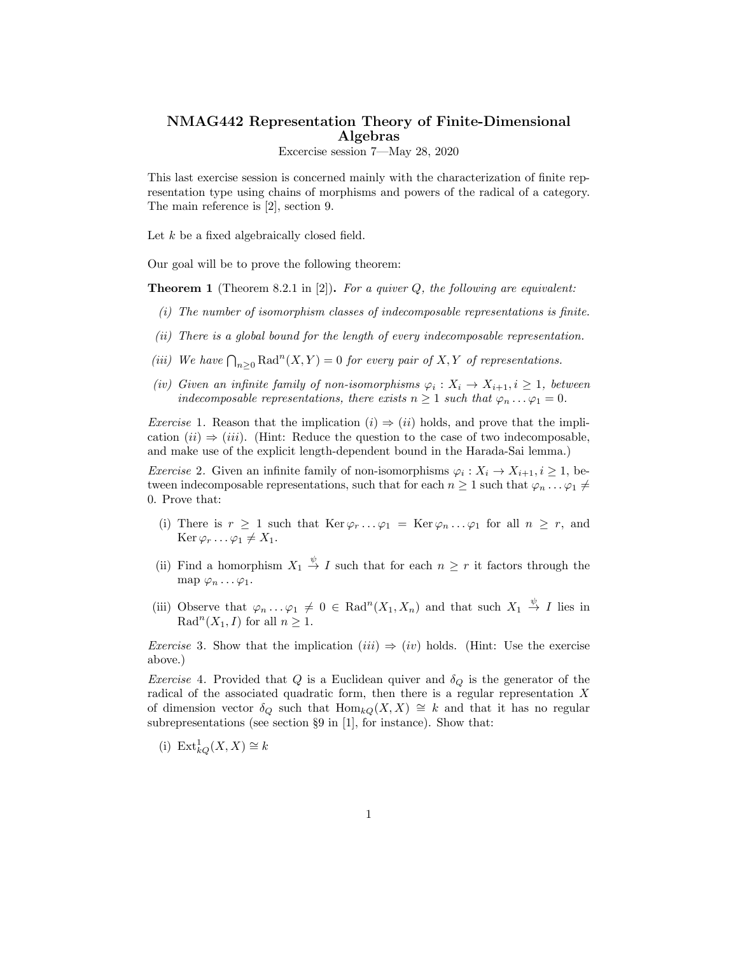## NMAG442 Representation Theory of Finite-Dimensional Algebras

Excercise session 7—May 28, 2020

This last exercise session is concerned mainly with the characterization of finite representation type using chains of morphisms and powers of the radical of a category. The main reference is [2], section 9.

Let *k* be a fixed algebraically closed field.

Our goal will be to prove the following theorem:

Theorem 1 (Theorem 8.2.1 in [2]). *For a quiver Q, the following are equivalent:*

- *(i) The number of isomorphism classes of indecomposable representations is finite.*
- *(ii) There is a global bound for the length of every indecomposable representation.*
- *(iii)* We have  $\bigcap_{n\geq 0} \text{Rad}^n(X, Y) = 0$  *for every pair of* X, Y *of representations.*
- *(iv) Given* an *infinite family of non-isomorphisms*  $\varphi_i : X_i \to X_{i+1}, i \geq 1$ *, between indecomposable representations, there exists*  $n \geq 1$  *such that*  $\varphi_n \dots \varphi_1 = 0$ *.*

*Exercise* 1. Reason that the implication  $(i) \Rightarrow (ii)$  holds, and prove that the implication  $(ii) \Rightarrow (iii)$ . (Hint: Reduce the question to the case of two indecomposable, and make use of the explicit length-dependent bound in the Harada-Sai lemma.)

*Exercise* 2. Given an infinite family of non-isomorphisms  $\varphi_i : X_i \to X_{i+1}, i \geq 1$ , between indecomposable representations, such that for each  $n \geq 1$  such that  $\varphi_n \dots \varphi_1 \neq$ 0. Prove that:

- (i) There is  $r \geq 1$  such that  $\text{Ker }\varphi_r \dots \varphi_1 = \text{Ker }\varphi_n \dots \varphi_1$  for all  $n \geq r$ , and  $\text{Ker } \varphi_r \dots \varphi_1 \neq X_1.$
- (ii) Find a homorphism  $X_1 \stackrel{\psi}{\to} I$  such that for each  $n \geq r$  it factors through the map  $\varphi_n \ldots \varphi_1$ .
- (iii) Observe that  $\varphi_n \dots \varphi_1 \neq 0 \in \text{Rad}^n(X_1, X_n)$  and that such  $X_1 \stackrel{\psi}{\to} I$  lies in  $\operatorname{Rad}^{n}(X_{1}, I)$  for all  $n \geq 1$ .

*Exercise* 3. Show that the implication  $(iii) \Rightarrow (iv)$  holds. (Hint: Use the exercise above.)

*Exercise* 4. Provided that *Q* is a Euclidean quiver and  $\delta_Q$  is the generator of the radical of the associated quadratic form, then there is a regular representation *X* of dimension vector  $\delta_Q$  such that  $\text{Hom}_{kQ}(X,X) \cong k$  and that it has no regular subrepresentations (see section §9 in [1], for instance). Show that:

(i)  $Ext_{kQ}^1(X,X) \cong k$